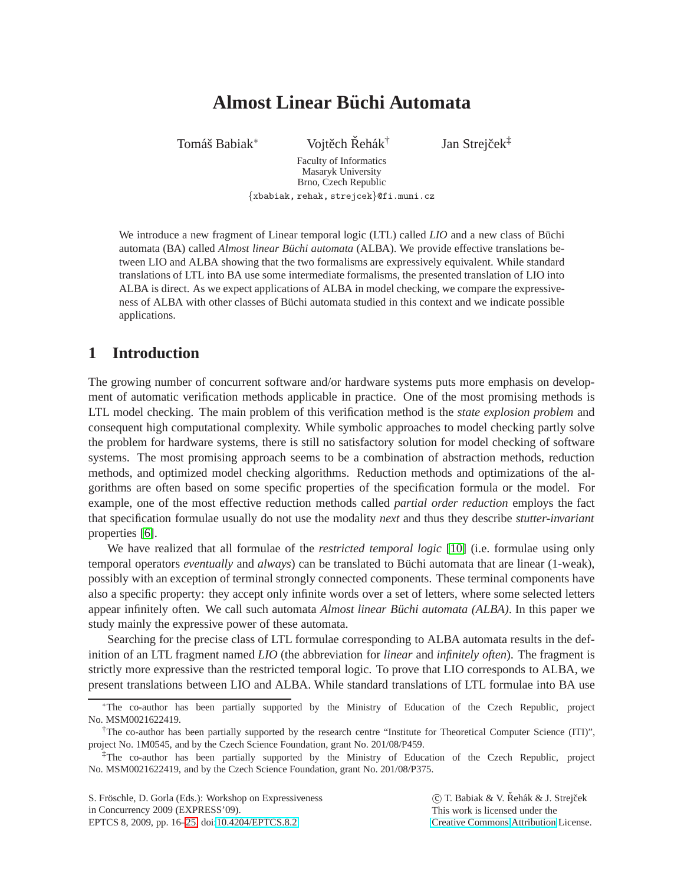# **Almost Linear Buchi Automata ¨**

Tomáš Babiak<sup>∗</sup> Vojtěch Řehák<sup>†</sup>

Jan Strejček<sup>‡</sup>

Faculty of Informatics Masaryk University Brno, Czech Republic {xbabiak, rehak, strejcek}@fi.muni.cz

We introduce a new fragment of Linear temporal logic (LTL) called *LIO* and a new class of Büchi automata (BA) called *Almost linear Buchi automata* (ALBA). We provide effective translations between LIO and ALBA showing that the two formalisms are expressively equivalent. While standard translations of LTL into BA use some intermediate formalisms, the presented translation of LIO into ALBA is direct. As we expect applications of ALBA in model checking, we compare the expressiveness of ALBA with other classes of Büchi automata studied in this context and we indicate possible applications.

# **1 Introduction**

The growing number of concurrent software and/or hardware systems puts more emphasis on development of automatic verification methods applicable in practice. One of the most promising methods is LTL model checking. The main problem of this verification method is the *state explosion problem* and consequent high computational complexity. While symbolic approaches to model checking partly solve the problem for hardware systems, there is still no satisfactory solution for model checking of software systems. The most promising approach seems to be a combination of abstraction methods, reduction methods, and optimized model checking algorithms. Reduction methods and optimizations of the algorithms are often based on some specific properties of the specification formula or the model. For example, one of the most effective reduction methods called *partial order reduction* employs the fact that specification formulae usually do not use the modality *next* and thus they describe *stutter-invariant* properties [\[6\]](#page-9-1).

We have realized that all formulae of the *restricted temporal logic* [\[10\]](#page-9-2) (i.e. formulae using only temporal operators *eventually* and *always*) can be translated to Büchi automata that are linear (1-weak), possibly with an exception of terminal strongly connected components. These terminal components have also a specific property: they accept only infinite words over a set of letters, where some selected letters appear infinitely often. We call such automata *Almost linear Büchi automata (ALBA)*. In this paper we study mainly the expressive power of these automata.

Searching for the precise class of LTL formulae corresponding to ALBA automata results in the definition of an LTL fragment named *LIO* (the abbreviation for *linear* and *infinitely often*). The fragment is strictly more expressive than the restricted temporal logic. To prove that LIO corresponds to ALBA, we present translations between LIO and ALBA. While standard translations of LTL formulae into BA use

C T. Babiak & V. Řehák & J. Strejček This work is licensed under the [Creative Commons](http://creativecommons.org) [Attribution](http://creativecommons.org/licenses/by/3.0/) License.

<sup>∗</sup>The co-author has been partially supported by the Ministry of Education of the Czech Republic, project No. MSM0021622419.

<sup>†</sup>The co-author has been partially supported by the research centre "Institute for Theoretical Computer Science (ITI)", project No. 1M0545, and by the Czech Science Foundation, grant No. 201/08/P459.

<sup>‡</sup>The co-author has been partially supported by the Ministry of Education of the Czech Republic, project No. MSM0021622419, and by the Czech Science Foundation, grant No. 201/08/P375.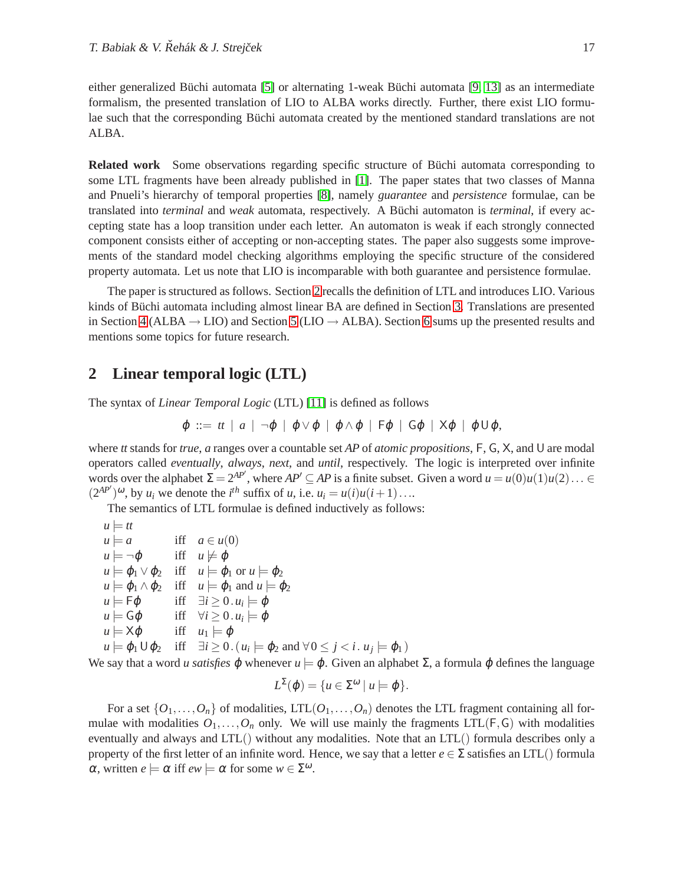either generalized Büchi automata  $[5]$  or alternating 1-weak Büchi automata  $[9, 13]$  $[9, 13]$  as an intermediate formalism, the presented translation of LIO to ALBA works directly. Further, there exist LIO formulae such that the corresponding Büchi automata created by the mentioned standard translations are not ALBA.

**Related work** Some observations regarding specific structure of Büchi automata corresponding to some LTL fragments have been already published in [\[1\]](#page-9-6). The paper states that two classes of Manna and Pnueli's hierarchy of temporal properties [\[8\]](#page-9-7), namely *guarantee* and *persistence* formulae, can be translated into *terminal* and *weak* automata, respectively. A Büchi automaton is *terminal*, if every accepting state has a loop transition under each letter. An automaton is weak if each strongly connected component consists either of accepting or non-accepting states. The paper also suggests some improvements of the standard model checking algorithms employing the specific structure of the considered property automata. Let us note that LIO is incomparable with both guarantee and persistence formulae.

The paper is structured as follows. Section [2](#page-1-0) recalls the definition of LTL and introduces LIO. Various kinds of Büchi automata including almost linear BA are defined in Section [3.](#page-2-0) Translations are presented in Section [4](#page-5-0) (ALBA  $\rightarrow$  LIO) and Section [5](#page-5-1) (LIO  $\rightarrow$  ALBA). Section [6](#page-9-8) sums up the presented results and mentions some topics for future research.

### <span id="page-1-0"></span>**2 Linear temporal logic (LTL)**

The syntax of *Linear Temporal Logic* (LTL) [\[11\]](#page-9-9) is defined as follows

$$
\varphi ::= tt \mid a \mid \neg \varphi \mid \varphi \vee \varphi \mid \varphi \wedge \varphi \mid F\varphi \mid G\varphi \mid X\varphi \mid \varphi \cup \varphi,
$$

where *tt* stands for *true*, *a* ranges over a countable set *AP* of *atomic propositions*, F, G, X, and U are modal operators called *eventually*, *always*, *next*, and *until*, respectively. The logic is interpreted over infinite words over the alphabet  $\Sigma = 2^{AP'}$ , where  $AP' \subseteq AP$  is a finite subset. Given a word  $u = u(0)u(1)u(2) \dots \in$  $(2^{AP'})^{\omega}$ , by *u<sub>i</sub>* we denote the *i*<sup>th</sup> suffix of *u*, i.e.  $u_i = u(i)u(i+1)...$ 

The semantics of LTL formulae is defined inductively as follows:

$$
u = tt
$$
  
\n
$$
u = a
$$
 iff  $a \in u(0)$   
\n
$$
u = \neg \phi
$$
 iff  $u \neq \phi$   
\n
$$
u = \phi_1 \lor \phi_2
$$
 iff  $u = \phi_1$  or  $u = \phi_2$   
\n
$$
u = \phi_1 \land \phi_2
$$
 iff  $u = \phi_1$  and  $u = \phi_2$   
\n
$$
u = F\phi
$$
 iff  $\exists i \ge 0$ .  $u_i = \phi$   
\n
$$
u = G\phi
$$
 iff  $\forall i \ge 0$ .  $u_i = \phi$   
\n
$$
u = \chi \phi
$$
 iff  $u_1 = \phi$   
\n
$$
u = \phi_1 \cup \phi_2
$$
 iff  $\exists i \ge 0$ .  $(u_i = \phi_2$  and  $\forall 0 \le j < i$ .  $u_j = \phi_1$ 

We say that a word *u satisfies*  $\varphi$  whenever  $u \models \varphi$ . Given an alphabet  $\Sigma$ , a formula  $\varphi$  defines the language

 $)$ 

$$
L^{\Sigma}(\varphi) = \{ u \in \Sigma^{\omega} \mid u \models \varphi \}.
$$

For a set  $\{O_1,\ldots,O_n\}$  of modalities, LTL $(O_1,\ldots,O_n)$  denotes the LTL fragment containing all formulae with modalities  $O_1, \ldots, O_n$  only. We will use mainly the fragments  $LTL(F, G)$  with modalities eventually and always and LTL() without any modalities. Note that an LTL() formula describes only a property of the first letter of an infinite word. Hence, we say that a letter  $e \in \Sigma$  satisfies an LTL() formula  $\alpha$ , written  $e \models \alpha$  iff  $ew \models \alpha$  for some  $w \in \Sigma^{\omega}$ .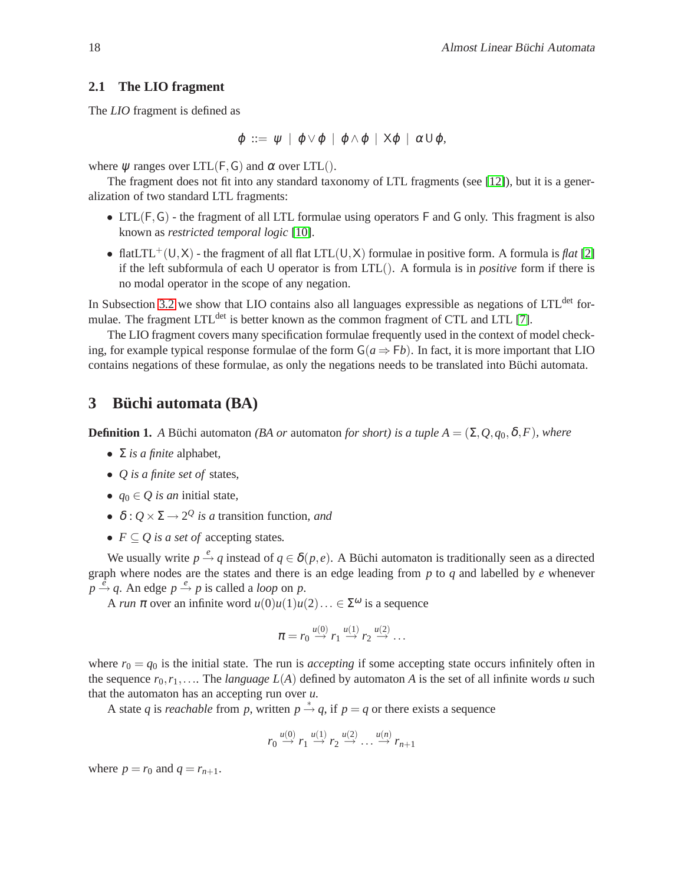#### **2.1 The LIO fragment**

The *LIO* fragment is defined as

$$
\varphi \ ::= \ \psi \ | \ \varphi \vee \varphi \ | \ \varphi \wedge \varphi \ | \ X\varphi \ | \ \alpha \cup \varphi,
$$

where  $\psi$  ranges over LTL(F, G) and  $\alpha$  over LTL().

The fragment does not fit into any standard taxonomy of LTL fragments (see [\[12\]](#page-9-10)), but it is a generalization of two standard LTL fragments:

- LTL( $F, G$ ) the fragment of all LTL formulae using operators  $F$  and  $G$  only. This fragment is also known as *restricted temporal logic* [\[10\]](#page-9-2).
- flatLTL<sup>+</sup>(U,X) the fragment of all flat LTL(U,X) formulae in positive form. A formula is *flat* [\[2\]](#page-9-11) if the left subformula of each U operator is from LTL(). A formula is in *positive* form if there is no modal operator in the scope of any negation.

In Subsection [3.2](#page-4-0) we show that LIO contains also all languages expressible as negations of LTL<sup>det</sup> for-mulae. The fragment LTL<sup>det</sup> is better known as the common fragment of CTL and LTL [\[7\]](#page-9-12).

The LIO fragment covers many specification formulae frequently used in the context of model checking, for example typical response formulae of the form  $G(a \Rightarrow Fb)$ . In fact, it is more important that LIO contains negations of these formulae, as only the negations needs to be translated into Büchi automata.

### <span id="page-2-0"></span>**3 Buchi automata (BA) ¨**

**Definition 1.** *A* Büchi automaton *(BA or* automaton *for short)* is a tuple  $A = (\Sigma, Q, q_0, \delta, F)$ *, where* 

- $\Sigma$  *is a finite* alphabet,
- *Q is a finite set of* states*,*
- $q_0 \in Q$  *is an* initial state,
- $\delta$  :  $Q \times \Sigma \rightarrow 2^Q$  *is a* transition function, and
- $F \subseteq Q$  *is a set of* accepting states.

We usually write  $p \stackrel{e}{\rightarrow} q$  instead of  $q \in \delta(p,e)$ . A Büchi automaton is traditionally seen as a directed graph where nodes are the states and there is an edge leading from *p* to *q* and labelled by *e* whenever  $p \stackrel{\partial}{\rightarrow} q$ . An edge  $p \stackrel{e}{\rightarrow} p$  is called a *loop* on *p*.

A *run*  $\pi$  over an infinite word  $u(0)u(1)u(2)... \in \Sigma^{\omega}$  is a sequence

$$
\pi = r_0 \stackrel{u(0)}{\rightarrow} r_1 \stackrel{u(1)}{\rightarrow} r_2 \stackrel{u(2)}{\rightarrow} \ldots
$$

where  $r_0 = q_0$  is the initial state. The run is *accepting* if some accepting state occurs infinitely often in the sequence  $r_0, r_1, \ldots$  The *language L(A)* defined by automaton *A* is the set of all infinite words *u* such that the automaton has an accepting run over *u*.

A state *q* is *reachable* from *p*, written  $p \stackrel{*}{\rightarrow} q$ , if  $p = q$  or there exists a sequence

$$
r_0 \stackrel{u(0)}{\rightarrow} r_1 \stackrel{u(1)}{\rightarrow} r_2 \stackrel{u(2)}{\rightarrow} \dots \stackrel{u(n)}{\rightarrow} r_{n+1}
$$

where  $p = r_0$  and  $q = r_{n+1}$ .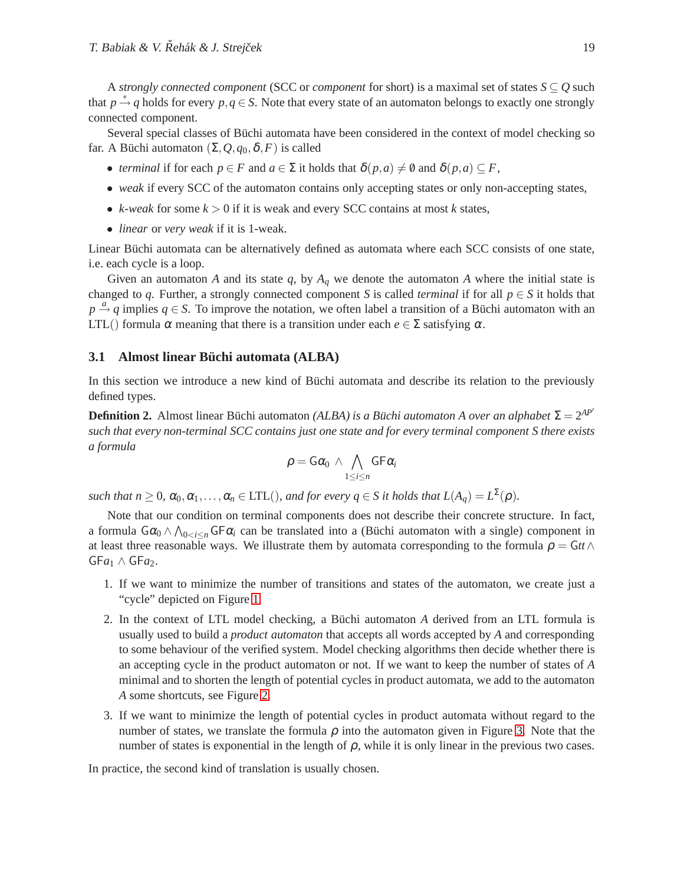A *strongly connected component* (SCC or *component* for short) is a maximal set of states  $S \subseteq Q$  such that  $p \stackrel{*}{\rightarrow} q$  holds for every  $p, q \in S$ . Note that every state of an automaton belongs to exactly one strongly connected component.

Several special classes of Büchi automata have been considered in the context of model checking so far. A Büchi automaton  $(\Sigma, Q, q_0, \delta, F)$  is called

- *terminal* if for each  $p \in F$  and  $a \in \Sigma$  it holds that  $\delta(p, a) \neq \emptyset$  and  $\delta(p, a) \subseteq F$ ,
- *weak* if every SCC of the automaton contains only accepting states or only non-accepting states,
- *k*-weak for some  $k > 0$  if it is weak and every SCC contains at most *k* states,
- *linear* or *very weak* if it is 1-weak.

Linear Büchi automata can be alternatively defined as automata where each SCC consists of one state, i.e. each cycle is a loop.

Given an automaton *A* and its state  $q$ , by  $A_q$  we denote the automaton *A* where the initial state is changed to *q*. Further, a strongly connected component *S* is called *terminal* if for all  $p \in S$  it holds that  $p \stackrel{a}{\rightarrow} q$  implies  $q \in S$ . To improve the notation, we often label a transition of a Büchi automaton with an LTL() formula  $\alpha$  meaning that there is a transition under each  $e \in \Sigma$  satisfying  $\alpha$ .

#### **3.1 Almost linear Büchi automata (ALBA)**

In this section we introduce a new kind of Büchi automata and describe its relation to the previously defined types.

**Definition 2.** Almost linear Büchi automaton *(ALBA) is a Büchi automaton A over an alphabet*  $\Sigma = 2^{AP'}$ *such that every non-terminal SCC contains just one state and for every terminal component S there exists a formula*

$$
\rho = G\alpha_0 \wedge \bigwedge_{1 \leq i \leq n} G F \alpha_i
$$

*such that n*  $\geq 0$ ,  $\alpha_0, \alpha_1, \ldots, \alpha_n \in \text{LTL}$ ), and for every  $q \in S$  it holds that  $L(A_q) = L^{\Sigma}(\rho)$ .

Note that our condition on terminal components does not describe their concrete structure. In fact, a formula  $G\alpha_0 \wedge \bigwedge_{0 \leq i \leq n} G F \alpha_i$  can be translated into a (Büchi automaton with a single) component in at least three reasonable ways. We illustrate them by automata corresponding to the formula  $\rho = \mathsf{G} t t \wedge \mathsf{G} t t$  $GFa<sub>1</sub> \wedge GFa<sub>2</sub>$ .

- 1. If we want to minimize the number of transitions and states of the automaton, we create just a "cycle" depicted on Figure [1.](#page-4-1)
- 2. In the context of LTL model checking, a Büchi automaton *A* derived from an LTL formula is usually used to build a *product automaton* that accepts all words accepted by *A* and corresponding to some behaviour of the verified system. Model checking algorithms then decide whether there is an accepting cycle in the product automaton or not. If we want to keep the number of states of *A* minimal and to shorten the length of potential cycles in product automata, we add to the automaton *A* some shortcuts, see Figure [2.](#page-4-2)
- 3. If we want to minimize the length of potential cycles in product automata without regard to the number of states, we translate the formula  $\rho$  into the automaton given in Figure [3.](#page-4-3) Note that the number of states is exponential in the length of  $\rho$ , while it is only linear in the previous two cases.

In practice, the second kind of translation is usually chosen.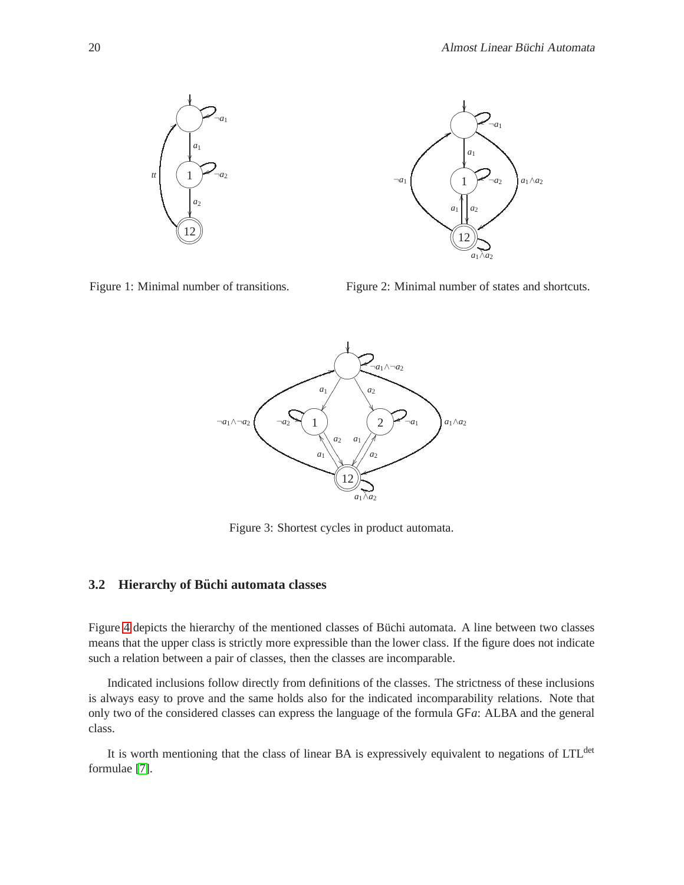

<span id="page-4-1"></span>Figure 1: Minimal number of transitions.

<span id="page-4-2"></span>Figure 2: Minimal number of states and shortcuts.



<span id="page-4-3"></span>Figure 3: Shortest cycles in product automata.

#### <span id="page-4-0"></span>**3.2 Hierarchy of Büchi automata classes**

Figure [4](#page-5-2) depicts the hierarchy of the mentioned classes of Büchi automata. A line between two classes means that the upper class is strictly more expressible than the lower class. If the figure does not indicate such a relation between a pair of classes, then the classes are incomparable.

Indicated inclusions follow directly from definitions of the classes. The strictness of these inclusions is always easy to prove and the same holds also for the indicated incomparability relations. Note that only two of the considered classes can express the language of the formula GF*a*: ALBA and the general class.

It is worth mentioning that the class of linear BA is expressively equivalent to negations of LTL<sup>det</sup> formulae [\[7\]](#page-9-12).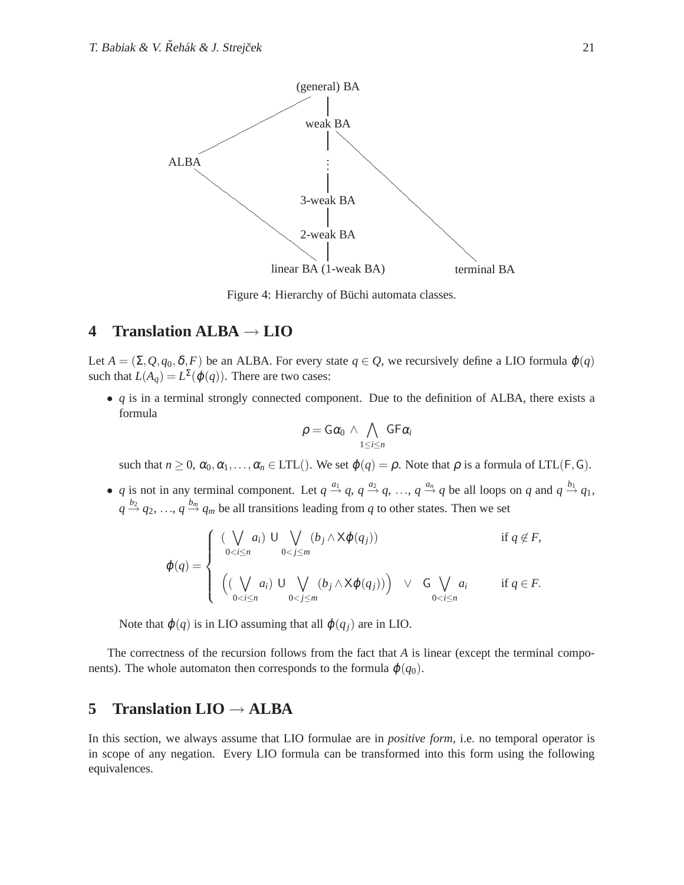

<span id="page-5-2"></span>Figure 4: Hierarchy of Büchi automata classes.

## <span id="page-5-0"></span>**4 Translation ALBA** → **LIO**

Let  $A = (\Sigma, Q, q_0, \delta, F)$  be an ALBA. For every state  $q \in Q$ , we recursively define a LIO formula  $\varphi(q)$ such that  $L(A_q) = L^{\Sigma}(\varphi(q))$ . There are two cases:

• *q* is in a terminal strongly connected component. Due to the definition of ALBA, there exists a formula

$$
\rho = \mathsf{G}\alpha_0 \,\land\, \bigwedge_{1\leq i\leq n} \mathsf{G}\mathsf{F}\alpha_i
$$

such that  $n \geq 0$ ,  $\alpha_0, \alpha_1, \ldots, \alpha_n \in \text{LTL}(\text{).}$  We set  $\varphi(q) = \rho$ . Note that  $\rho$  is a formula of LTL(F, G).

• *q* is not in any terminal component. Let  $q \stackrel{a_1}{\rightarrow} q$ ,  $q \stackrel{a_2}{\rightarrow} q$ , ...,  $q \stackrel{a_n}{\rightarrow} q$  be all loops on *q* and  $q \stackrel{b_1}{\rightarrow} q_1$ ,  $q \stackrel{b_2}{\rightarrow} q_2, \ldots, q \stackrel{b_m}{\rightarrow} q_m$  be all transitions leading from *q* to other states. Then we set

$$
\varphi(q) = \begin{cases}\n\left(\bigvee_{0 < i \leq n} a_i\right) \cup \bigvee_{0 < j \leq m} (b_j \wedge \mathsf{X}\varphi(q_j)) & \text{if } q \notin F, \\
\left(\left(\bigvee_{0 < i \leq n} a_i\right) \cup \bigvee_{0 < j \leq m} (b_j \wedge \mathsf{X}\varphi(q_j))\right) \vee G \bigvee_{0 < i \leq n} a_i & \text{if } q \in F.\n\end{cases}
$$

Note that  $\varphi(q)$  is in LIO assuming that all  $\varphi(q_i)$  are in LIO.

The correctness of the recursion follows from the fact that *A* is linear (except the terminal components). The whole automaton then corresponds to the formula  $\varphi(q_0)$ .

# <span id="page-5-1"></span>**5 Translation LIO** → **ALBA**

In this section, we always assume that LIO formulae are in *positive form*, i.e. no temporal operator is in scope of any negation. Every LIO formula can be transformed into this form using the following equivalences.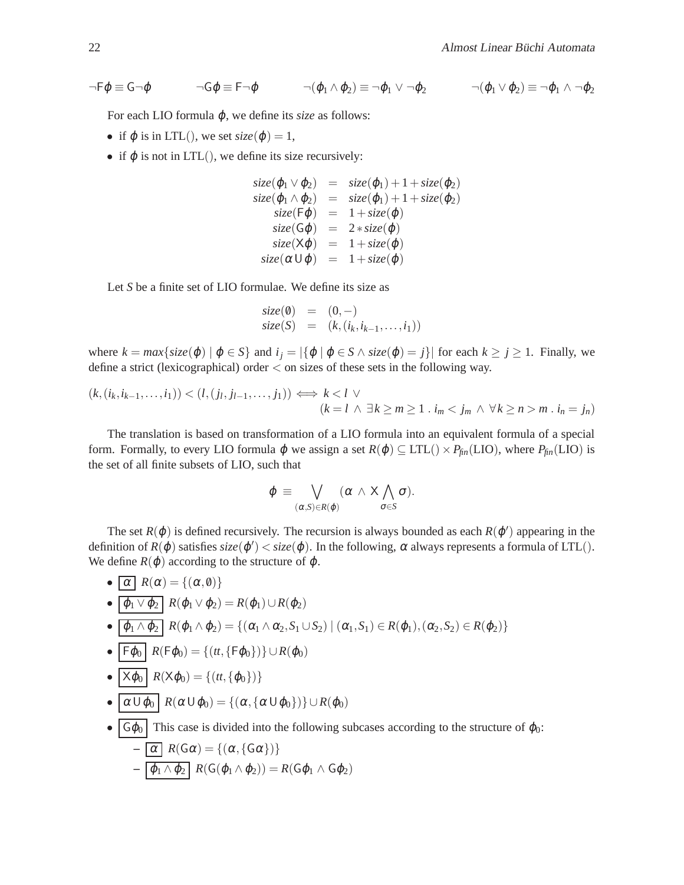$\neg \mathsf{F}\varphi \equiv \mathsf{G}\neg \varphi$   $\neg \mathsf{G}\varphi \equiv \mathsf{F}\neg \varphi$   $\neg (\varphi_1 \wedge \varphi_2) \equiv \neg \varphi_1 \vee \neg \varphi_2$   $\neg (\varphi_1 \vee \varphi_2) \equiv \neg \varphi_1 \wedge \neg \varphi_2$ 

For each LIO formula  $\varphi$ , we define its *size* as follows:

- if  $\varphi$  is in LTL(), we set  $size(\varphi) = 1$ ,
- if  $\varphi$  is not in LTL(), we define its size recursively:

$$
size(\varphi_1 \vee \varphi_2) = size(\varphi_1) + 1 + size(\varphi_2)
$$
  
\n
$$
size(\varphi_1 \wedge \varphi_2) = size(\varphi_1) + 1 + size(\varphi_2)
$$
  
\n
$$
size(\mathsf{F}\varphi) = 1 + size(\varphi)
$$
  
\n
$$
size(\mathsf{G}\varphi) = 2 * size(\varphi)
$$
  
\n
$$
size(\mathsf{X}\varphi) = 1 + size(\varphi)
$$
  
\n
$$
size(\alpha \cup \varphi) = 1 + size(\varphi)
$$

Let *S* be a finite set of LIO formulae. We define its size as

$$
size(0) = (0,-) size(S) = (k, (i_k, i_{k-1},...,i_1))
$$

where  $k = max\{size(\varphi) | \varphi \in S\}$  and  $i_j = |\{\varphi | \varphi \in S \land size(\varphi) = j\}|$  for each  $k \ge j \ge 1$ . Finally, we define a strict (lexicographical) order < on sizes of these sets in the following way.

$$
(k,(i_k,i_{k-1},\ldots,i_1)) < (l,(j_l,j_{l-1},\ldots,j_1)) \iff k < l \lor (k = l \land \exists k \ge m \ge 1 : i_m < j_m \land \forall k \ge n > m : i_n = j_n)
$$

The translation is based on transformation of a LIO formula into an equivalent formula of a special form. Formally, to every LIO formula  $\varphi$  we assign a set  $R(\varphi) \subseteq \text{LTL}(\cdot) \times P_{\text{fin}}(\text{LIO})$ , where  $P_{\text{fin}}(\text{LIO})$  is the set of all finite subsets of LIO, such that

$$
\varphi \equiv \bigvee_{(\alpha,S)\in R(\varphi)} (\alpha \wedge X \bigwedge_{\sigma\in S} \sigma).
$$

The set  $R(\varphi)$  is defined recursively. The recursion is always bounded as each  $R(\varphi')$  appearing in the definition of  $R(\varphi)$  satisfies  $size(\varphi') < size(\varphi)$ . In the following,  $\alpha$  always represents a formula of LTL(). We define  $R(\varphi)$  according to the structure of  $\varphi$ .

- $\alpha$   $R(\alpha) = \{(\alpha, \emptyset)\}\$ •  $\boxed{\varphi_1 \vee \varphi_2}$   $R(\varphi_1 \vee \varphi_2) = R(\varphi_1) \cup R(\varphi_2)$  $\bullet$   $\boxed{\varphi_1 \wedge \varphi_2}$   $R(\varphi_1 \wedge \varphi_2) = \{(\alpha_1 \wedge \alpha_2, S_1 \cup S_2) \mid (\alpha_1, S_1) \in R(\varphi_1), (\alpha_2, S_2) \in R(\varphi_2)\}\$  $\boxed{\mathsf{F}\varphi_0}$   $R(\mathsf{F}\varphi_0) = \{(tt, \{\mathsf{F}\varphi_0\})\} \cup R(\varphi_0)$
- $\overline{X\varphi_0}$   $R(X\varphi_0) = \{(tt, \{\varphi_0\})\}$
- $\alpha \cup \varphi_0$   $R(\alpha \cup \varphi_0) = \{(\alpha, \{\alpha \cup \varphi_0\})\} \cup R(\varphi_0)$
- $\lceil \mathcal{G}\varphi_0 \rceil$  This case is divided into the following subcases according to the structure of  $\varphi_0$ :

$$
- \overline{\alpha} R(G\alpha) = \{ (\alpha, \{G\alpha\}) \}
$$
  
-  $\overline{\varphi_1 \wedge \varphi_2} R(G(\varphi_1 \wedge \varphi_2)) = R(G\varphi_1 \wedge G\varphi_2)$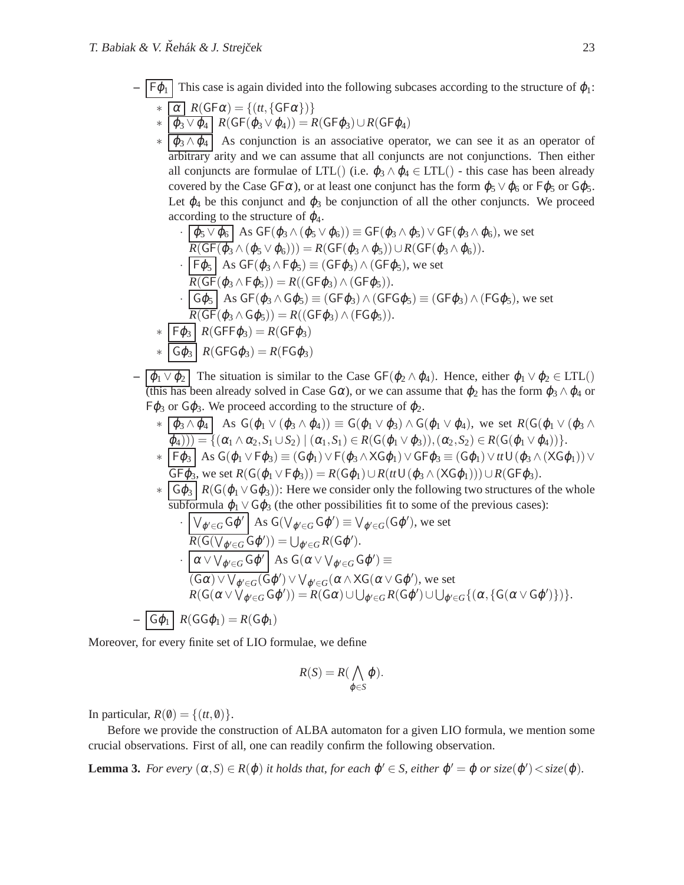$F\varphi_1$  This case is again divided into the following subcases according to the structure of  $\varphi_1$ :  $\ast \lceil \alpha \rceil R(\mathsf{GF}\alpha) = \{(tt, \{\mathsf{GF}\alpha\})\}$ 

$$
\ast \overline{\varphi_3 \vee \varphi_4} R(GF(\varphi_3 \vee \varphi_4)) = R(GF\varphi_3) \cup R(GF\varphi_4)
$$

 $\langle \phi_3 \wedge \phi_4 |$  As conjunction is an associative operator, we can see it as an operator of arbitrary arity and we can assume that all conjuncts are not conjunctions. Then either all conjuncts are formulae of LTL() (i.e.  $\varphi_3 \wedge \varphi_4 \in \text{LTL}$ ) - this case has been already covered by the Case GF $\alpha$ ), or at least one conjunct has the form  $\varphi_5 \vee \varphi_6$  or  $F\varphi_5$  or G $\varphi_5$ . Let  $\varphi_4$  be this conjunct and  $\varphi_3$  be conjunction of all the other conjuncts. We proceed according to the structure of  $\varphi_4$ .

$$
\frac{\varphi_5 \vee \varphi_6}{R(GF(\varphi_3 \wedge (\varphi_5 \vee \varphi_6)))} = GF(\varphi_3 \wedge \varphi_5) \vee GF(\varphi_3 \wedge \varphi_6), \text{ we set}
$$
  

$$
\frac{R(GF(\varphi_3 \wedge (\varphi_5 \vee \varphi_6)))}{F(\varphi_5)} = R(GF(\varphi_3 \wedge \varphi_5)) \cup R(GF(\varphi_3 \wedge \varphi_6)).
$$
  

$$
\frac{F(\varphi_5)}{R(GF(\varphi_3 \wedge \varphi_5))} = (GF(\varphi_3) \wedge (GF(\varphi_3)), \text{ we set}
$$

$$
R(GF(\varphi_3 \wedge F\varphi_5)) = R((GF\varphi_3) \wedge (GF\varphi_5)).
$$
  
 
$$
G\varphi_5 \wedge G\varphi_5 = (GF\varphi_3) \wedge (GFG\varphi_5) \equiv (GF\varphi_3) \wedge (FG\varphi_5),
$$
 we set  
 
$$
R(GF(\varphi_3 \wedge G\varphi_5)) = R((GF\varphi_3) \wedge (FG\varphi_5)).
$$

$$
\kappa(\text{G}\Gamma(\varphi_3 \wedge \text{G}\varphi_5)) = \kappa((\text{G}\Gamma\varphi_3))
$$
  
 
$$
* \overline{F\varphi_3} R(\text{G}\Gamma\varphi_3) = R(\text{G}\Gamma\varphi_3)
$$

$$
*\overline{\overline{\mathsf{G}\varphi_3}}\overline{R(\mathsf{GFG}\varphi_3)} = R(\mathsf{FG}\varphi_3)
$$

 $\boxed{\varphi_1 \vee \varphi_2}$  The situation is similar to the Case GF( $\varphi_2 \wedge \varphi_4$ ). Hence, either  $\varphi_1 \vee \varphi_2 \in \text{LTL}()$ (this has been already solved in Case  $G\alpha$ ), or we can assume that  $\varphi_2$  has the form  $\varphi_3 \wedge \varphi_4$  or  $F\varphi_3$  or  $G\varphi_3$ . We proceed according to the structure of  $\varphi_2$ .

\* 
$$
\frac{(\varphi_3 \wedge \varphi_4)}{(\varphi_4))} \mathop{\rm As} \ G(\varphi_1 \vee (\varphi_3 \wedge \varphi_4)) \equiv G(\varphi_1 \vee \varphi_3) \wedge G(\varphi_1 \vee \varphi_4), \text{ we set } R(G(\varphi_1 \vee (\varphi_3 \wedge \varphi_4))) = \{(\alpha_1 \wedge \alpha_2, S_1 \cup S_2) \mid (\alpha_1, S_1) \in R(G(\varphi_1 \vee \varphi_3)), (\alpha_2, S_2) \in R(G(\varphi_1 \vee \varphi_4))\}.
$$
  
\* 
$$
\frac{F\varphi_3}{F\varphi_3} \mathop{\rm As} \ G(\varphi_1 \vee F\varphi_3) \equiv (G\varphi_1) \vee F(\varphi_3 \wedge XG\varphi_1) \vee GF\varphi_3 \equiv (G\varphi_1) \vee \# \cup (\varphi_3 \wedge (XG\varphi_1)) \vee GF\varphi_3,
$$
we set 
$$
R(G(\varphi_1 \vee F\varphi_3)) = R(G\varphi_1) \cup R(\# \cup (\varphi_3 \wedge (XG\varphi_1))) \cup R(GF\varphi_3).
$$

\* 
$$
\boxed{G\varphi_3}
$$
  $R(G(\varphi_1 \vee G\varphi_3))$ : Here we consider only the following two structures of the whole subformula  $\varphi_1 \vee G\varphi_3$  (the other possibilities fit to some of the previous cases):

$$
\begin{aligned}\n&\cdot \frac{\bigvee_{\varphi' \in G} \mathsf{G} \varphi' \bigwedge \mathsf{As} \mathsf{G}(\bigvee_{\varphi' \in G} \mathsf{G} \varphi') \equiv \bigvee_{\varphi' \in G} (\mathsf{G} \varphi'), \text{ we set} \\
&\cdot \frac{R(\mathsf{G}(\bigvee_{\varphi' \in G} \mathsf{G} \varphi')) = \bigcup_{\varphi' \in G} R(\mathsf{G} \varphi')}{\alpha \vee \bigvee_{\varphi' \in G} \mathsf{G} \varphi'} \text{As} \mathsf{G}(\alpha \vee \bigvee_{\varphi' \in G} \mathsf{G} \varphi') \equiv \\
&\cdot \frac{(\mathsf{G}\alpha) \vee \bigvee_{\varphi' \in G} (\mathsf{G} \varphi') \vee \bigvee_{\varphi' \in G} (\alpha \wedge \mathsf{X} \mathsf{G}(\alpha \vee \mathsf{G} \varphi'), \text{ we set}}{R(\mathsf{G}(\alpha \vee \bigvee_{\varphi' \in G} \mathsf{G} \varphi')) = R(\mathsf{G}\alpha) \cup \bigcup_{\varphi' \in G} R(\mathsf{G}\varphi') \cup \bigcup_{\varphi' \in G} \{(\alpha, \mathsf{G}(\alpha \vee \mathsf{G} \varphi')\})\}.\n\end{aligned}
$$

$$
- \boxed{\mathsf{G}\varphi_1} \ R(\mathsf{G}\mathsf{G}\varphi_1) = R(\mathsf{G}\varphi_1)
$$

Moreover, for every finite set of LIO formulae, we define

$$
R(S) = R(\bigwedge_{\varphi \in S} \varphi).
$$

In particular,  $R(\emptyset) = \{(tt, \emptyset)\}.$ 

<span id="page-7-0"></span>Before we provide the construction of ALBA automaton for a given LIO formula, we mention some crucial observations. First of all, one can readily confirm the following observation.

**Lemma 3.** *For every*  $(\alpha, S) \in R(\varphi)$  *it holds that, for each*  $\varphi' \in S$ *, either*  $\varphi' = \varphi$  *or size* $(\varphi') <$ *size* $(\varphi)$ *.*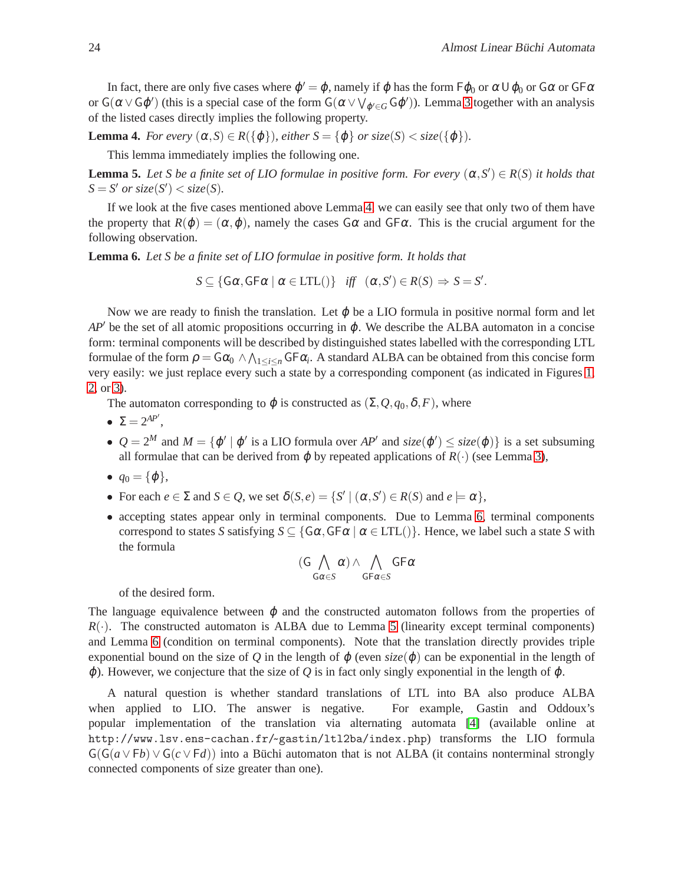In fact, there are only five cases where  $\phi' = \phi$ , namely if  $\phi$  has the form  $\mathsf{F}\phi_0$  or  $\alpha \cup \phi_0$  or  $\mathsf{G}\alpha$  or  $\mathsf{G}\mathsf{F}\alpha$ or  $G(\alpha \vee G\varphi')$  (this is a special case of the form  $G(\alpha \vee \bigvee_{\varphi' \in G} G\varphi')$ ). Lemma [3](#page-7-0) together with an analysis of the listed cases directly implies the following property.

<span id="page-8-2"></span><span id="page-8-0"></span>**Lemma 4.** *For every*  $(\alpha, S) \in R({\varphi}$ *, either*  $S = {\varphi}$  *or size*( $S$ ) < *size*( ${\varphi}$ )*.* 

This lemma immediately implies the following one.

**Lemma 5.** Let *S* be a finite set of LIO formulae in positive form. For every  $(\alpha, S') \in R(S)$  it holds that  $S = S'$  *or size*(*S'*)  $\lt$  *size*(*S*)*.* 

If we look at the five cases mentioned above Lemma [4,](#page-8-0) we can easily see that only two of them have the property that  $R(\phi) = (\alpha, \phi)$ , namely the cases  $G\alpha$  and  $GF\alpha$ . This is the crucial argument for the following observation.

<span id="page-8-1"></span>**Lemma 6.** *Let S be a finite set of LIO formulae in positive form. It holds that*

 $S \subseteq \{G\alpha, G\ \vdash \alpha \mid \alpha \in \text{LTL}() \}$  *iff*  $(\alpha, S') \in R(S) \Rightarrow S = S'$ .

Now we are ready to finish the translation. Let  $\varphi$  be a LIO formula in positive normal form and let  $AP'$  be the set of all atomic propositions occurring in  $\varphi$ . We describe the ALBA automaton in a concise form: terminal components will be described by distinguished states labelled with the corresponding LTL formulae of the form  $\rho = G\alpha_0 \wedge \bigwedge_{1 \leq i \leq n} G F \alpha_i$ . A standard ALBA can be obtained from this concise form very easily: we just replace every such a state by a corresponding component (as indicated in Figures [1,](#page-4-1) [2,](#page-4-2) or [3\)](#page-4-3).

The automaton corresponding to  $\varphi$  is constructed as  $(\Sigma, Q, q_0, \delta, F)$ , where

- $\Sigma = 2^{AP'}$ ,
- $Q = 2^M$  and  $M = {\varphi' | \varphi' \text{ is a LIO formula over } AP' \text{ and } size(\varphi') \leq size(\varphi)}$  is a set subsuming all formulae that can be derived from  $\varphi$  by repeated applications of  $R(\cdot)$  (see Lemma [3\)](#page-7-0),
- $q_0 = {\phi},$
- For each  $e \in \Sigma$  and  $S \in \mathcal{Q}$ , we set  $\delta(S, e) = \{S' \mid (\alpha, S') \in R(S) \text{ and } e \models \alpha\},\$
- accepting states appear only in terminal components. Due to Lemma [6,](#page-8-1) terminal components correspond to states *S* satisfying  $S \subseteq \{G\alpha, GF\alpha \mid \alpha \in LTL(\cdot)\}\$ . Hence, we label such a state *S* with the formula

$$
(G \bigwedge_{G \alpha \in S} \alpha) \wedge \bigwedge_{G F \alpha \in S} G F \alpha
$$

of the desired form.

The language equivalence between  $\varphi$  and the constructed automaton follows from the properties of  $R(\cdot)$ . The constructed automaton is ALBA due to Lemma [5](#page-8-2) (linearity except terminal components) and Lemma [6](#page-8-1) (condition on terminal components). Note that the translation directly provides triple exponential bound on the size of *Q* in the length of  $\varphi$  (even *size*( $\varphi$ ) can be exponential in the length of  $\varphi$ ). However, we conjecture that the size of *Q* is in fact only singly exponential in the length of  $\varphi$ .

A natural question is whether standard translations of LTL into BA also produce ALBA when applied to LIO. The answer is negative. For example, Gastin and Oddoux's popular implementation of the translation via alternating automata [\[4\]](#page-9-13) (available online at http://www.lsv.ens-cachan.fr/~ gastin/ltl2ba/index.php) transforms the LIO formula  $G(G(a \vee Fb) \vee G(c \vee Fd))$  into a Büchi automaton that is not ALBA (it contains nonterminal strongly connected components of size greater than one).